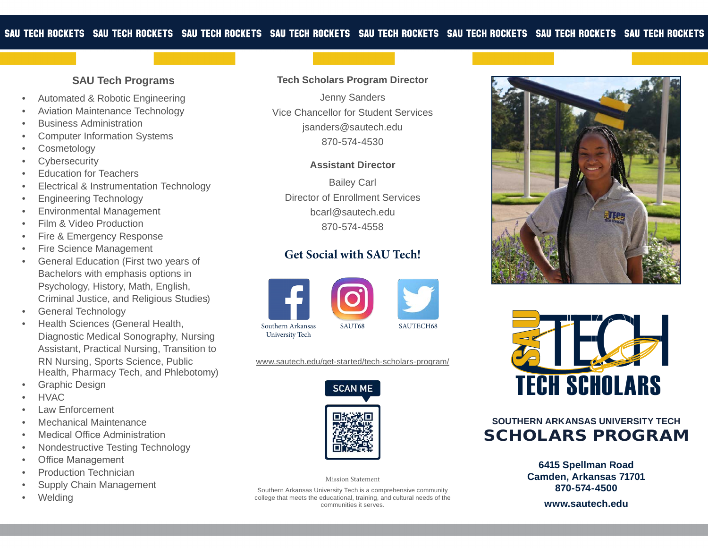#### **SAU Tech Programs**

- Automated & Robotic Engineering
- Aviation Maintenance Technology
- Business Administration
- Computer Information Systems
- **Cosmetology**
- **Cybersecurity**
- **Education for Teachers**
- Electrical & Instrumentation Technology
- Engineering Technology
- Environmental Management
- Film & Video Production
- Fire & Emergency Response
- **Fire Science Management**
- General Education (First two years of Bachelors with emphasis options in Psychology, History, Math, English, Criminal Justice, and Religious Studies)
- General Technology
- Health Sciences (General Health, Diagnostic Medical Sonography, Nursing Assistant, Practical Nursing, Transition to RN Nursing, Sports Science, Public Health, Pharmacy Tech, and Phlebotomy)
- Graphic Design
- HVAC
- Law Enforcement
- Mechanical Maintenance
- Medical Office Administration
- Nondestructive Testing Technology
- **Office Management**
- Production Technician
- Supply Chain Management
- **Welding**

# **Tech Scholars Program Director**

Jenny Sanders Vice Chancellor for Student Services jsanders@sautech.edu 870-574-4530

#### **Assistant Director**

Bailey Carl Director of Enrollment Services bcarl@sautech.edu 870-574-4558

# **Get Social with SAU Tech!**



www.sautech.edu/get-started/tech-scholars-program/



Mission Statement

Southern Arkansas University Tech is a comprehensive community college that meets the educational, training, and cultural needs of the communities it serves.





# **SOUTHERN ARKANSAS UNIVERSITY TECH**  SCHOLARS PROGRAM

**6415 Spellman Road Camden, Arkansas 71701 870-574-4500**

**www.sautech.edu**